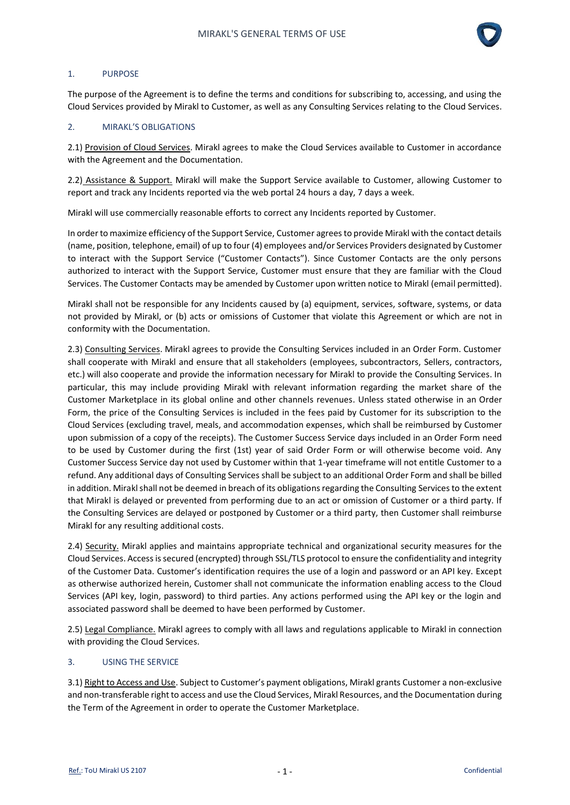

### 1. PURPOSE

The purpose of the Agreement is to define the terms and conditions for subscribing to, accessing, and using the Cloud Services provided by Mirakl to Customer, as well as any Consulting Services relating to the Cloud Services.

### 2. MIRAKL'S OBLIGATIONS

2.1) Provision of Cloud Services. Mirakl agrees to make the Cloud Services available to Customer in accordance with the Agreement and the Documentation.

2.2) Assistance & Support. Mirakl will make the Support Service available to Customer, allowing Customer to report and track any Incidents reported via the web portal 24 hours a day, 7 days a week.

Mirakl will use commercially reasonable efforts to correct any Incidents reported by Customer.

In order to maximize efficiency of the Support Service, Customer agrees to provide Mirakl with the contact details (name, position, telephone, email) of up to four (4) employees and/or Services Providers designated by Customer to interact with the Support Service ("Customer Contacts"). Since Customer Contacts are the only persons authorized to interact with the Support Service, Customer must ensure that they are familiar with the Cloud Services. The Customer Contacts may be amended by Customer upon written notice to Mirakl (email permitted).

Mirakl shall not be responsible for any Incidents caused by (a) equipment, services, software, systems, or data not provided by Mirakl, or (b) acts or omissions of Customer that violate this Agreement or which are not in conformity with the Documentation.

2.3) Consulting Services. Mirakl agrees to provide the Consulting Services included in an Order Form. Customer shall cooperate with Mirakl and ensure that all stakeholders (employees, subcontractors, Sellers, contractors, etc.) will also cooperate and provide the information necessary for Mirakl to provide the Consulting Services. In particular, this may include providing Mirakl with relevant information regarding the market share of the Customer Marketplace in its global online and other channels revenues. Unless stated otherwise in an Order Form, the price of the Consulting Services is included in the fees paid by Customer for its subscription to the Cloud Services (excluding travel, meals, and accommodation expenses, which shall be reimbursed by Customer upon submission of a copy of the receipts). The Customer Success Service days included in an Order Form need to be used by Customer during the first (1st) year of said Order Form or will otherwise become void. Any Customer Success Service day not used by Customer within that 1-year timeframe will not entitle Customer to a refund. Any additional days of Consulting Services shall be subject to an additional Order Form and shall be billed in addition. Mirakl shall not be deemed in breach of its obligations regarding the Consulting Services to the extent that Mirakl is delayed or prevented from performing due to an act or omission of Customer or a third party. If the Consulting Services are delayed or postponed by Customer or a third party, then Customer shall reimburse Mirakl for any resulting additional costs.

2.4) Security. Mirakl applies and maintains appropriate technical and organizational security measures for the Cloud Services. Access is secured (encrypted) through SSL/TLS protocol to ensure the confidentiality and integrity of the Customer Data. Customer's identification requires the use of a login and password or an API key. Except as otherwise authorized herein, Customer shall not communicate the information enabling access to the Cloud Services (API key, login, password) to third parties. Any actions performed using the API key or the login and associated password shall be deemed to have been performed by Customer.

2.5) Legal Compliance. Mirakl agrees to comply with all laws and regulations applicable to Mirakl in connection with providing the Cloud Services.

### 3. USING THE SERVICE

3.1) Right to Access and Use. Subject to Customer's payment obligations, Mirakl grants Customer a non-exclusive and non-transferable right to access and use the Cloud Services, Mirakl Resources, and the Documentation during the Term of the Agreement in order to operate the Customer Marketplace.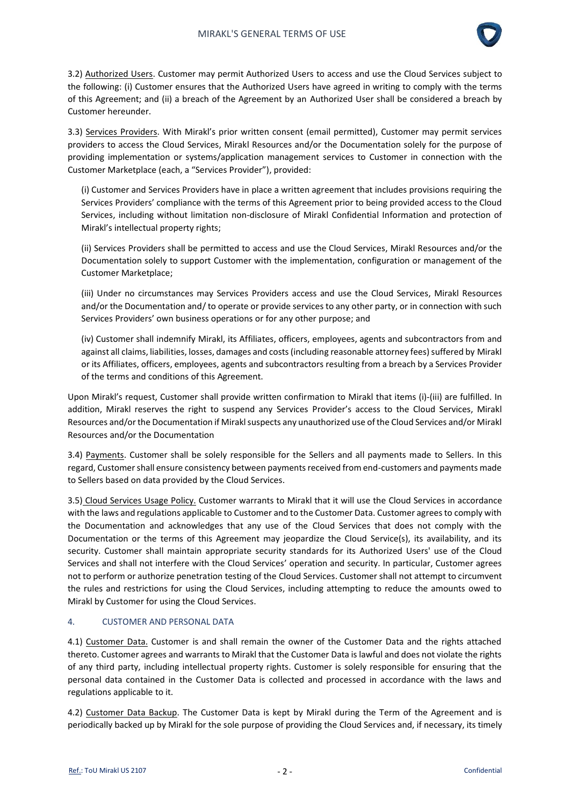

3.2) Authorized Users. Customer may permit Authorized Users to access and use the Cloud Services subject to the following: (i) Customer ensures that the Authorized Users have agreed in writing to comply with the terms of this Agreement; and (ii) a breach of the Agreement by an Authorized User shall be considered a breach by Customer hereunder.

3.3) Services Providers. With Mirakl's prior written consent (email permitted), Customer may permit services providers to access the Cloud Services, Mirakl Resources and/or the Documentation solely for the purpose of providing implementation or systems/application management services to Customer in connection with the Customer Marketplace (each, a "Services Provider"), provided:

(i) Customer and Services Providers have in place a written agreement that includes provisions requiring the Services Providers' compliance with the terms of this Agreement prior to being provided access to the Cloud Services, including without limitation non-disclosure of Mirakl Confidential Information and protection of Mirakl's intellectual property rights;

(ii) Services Providers shall be permitted to access and use the Cloud Services, Mirakl Resources and/or the Documentation solely to support Customer with the implementation, configuration or management of the Customer Marketplace;

(iii) Under no circumstances may Services Providers access and use the Cloud Services, Mirakl Resources and/or the Documentation and/to operate or provide services to any other party, or in connection with such Services Providers' own business operations or for any other purpose; and

(iv) Customer shall indemnify Mirakl, its Affiliates, officers, employees, agents and subcontractors from and against all claims, liabilities, losses, damages and costs (including reasonable attorney fees) suffered by Mirakl or its Affiliates, officers, employees, agents and subcontractors resulting from a breach by a Services Provider of the terms and conditions of this Agreement.

Upon Mirakl's request, Customer shall provide written confirmation to Mirakl that items (i)-(iii) are fulfilled. In addition, Mirakl reserves the right to suspend any Services Provider's access to the Cloud Services, Mirakl Resources and/or the Documentation if Mirakl suspects any unauthorized use of the Cloud Services and/or Mirakl Resources and/or the Documentation

3.4) Payments. Customer shall be solely responsible for the Sellers and all payments made to Sellers. In this regard, Customer shall ensure consistency between payments received from end-customers and payments made to Sellers based on data provided by the Cloud Services.

3.5) Cloud Services Usage Policy. Customer warrants to Mirakl that it will use the Cloud Services in accordance with the laws and regulations applicable to Customer and to the Customer Data. Customer agrees to comply with the Documentation and acknowledges that any use of the Cloud Services that does not comply with the Documentation or the terms of this Agreement may jeopardize the Cloud Service(s), its availability, and its security. Customer shall maintain appropriate security standards for its Authorized Users' use of the Cloud Services and shall not interfere with the Cloud Services' operation and security. In particular, Customer agrees not to perform or authorize penetration testing of the Cloud Services. Customer shall not attempt to circumvent the rules and restrictions for using the Cloud Services, including attempting to reduce the amounts owed to Mirakl by Customer for using the Cloud Services.

# 4. CUSTOMER AND PERSONAL DATA

4.1) Customer Data. Customer is and shall remain the owner of the Customer Data and the rights attached thereto. Customer agrees and warrants to Mirakl that the Customer Data is lawful and does not violate the rights of any third party, including intellectual property rights. Customer is solely responsible for ensuring that the personal data contained in the Customer Data is collected and processed in accordance with the laws and regulations applicable to it.

4.2) Customer Data Backup. The Customer Data is kept by Mirakl during the Term of the Agreement and is periodically backed up by Mirakl for the sole purpose of providing the Cloud Services and, if necessary, its timely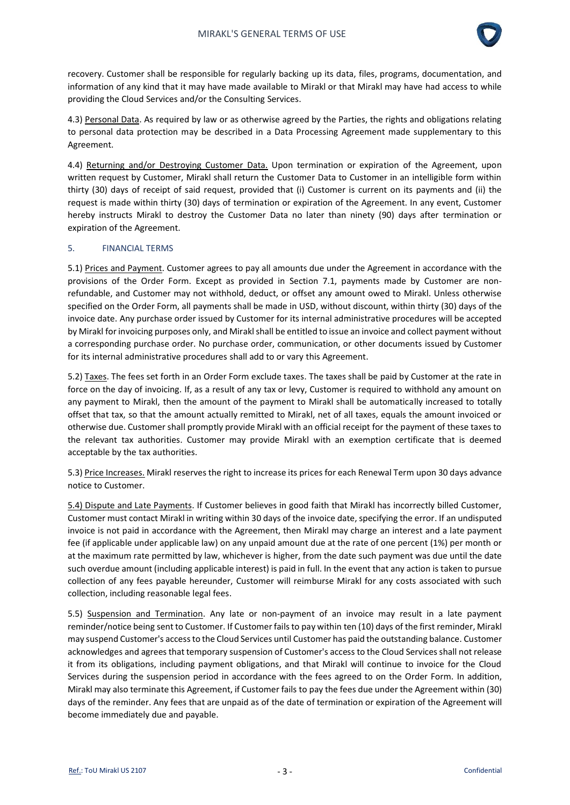

recovery. Customer shall be responsible for regularly backing up its data, files, programs, documentation, and information of any kind that it may have made available to Mirakl or that Mirakl may have had access to while providing the Cloud Services and/or the Consulting Services.

4.3) Personal Data. As required by law or as otherwise agreed by the Parties, the rights and obligations relating to personal data protection may be described in a Data Processing Agreement made supplementary to this Agreement.

4.4) Returning and/or Destroying Customer Data. Upon termination or expiration of the Agreement, upon written request by Customer, Mirakl shall return the Customer Data to Customer in an intelligible form within thirty (30) days of receipt of said request, provided that (i) Customer is current on its payments and (ii) the request is made within thirty (30) days of termination or expiration of the Agreement. In any event, Customer hereby instructs Mirakl to destroy the Customer Data no later than ninety (90) days after termination or expiration of the Agreement.

### 5. FINANCIAL TERMS

5.1) Prices and Payment. Customer agrees to pay all amounts due under the Agreement in accordance with the provisions of the Order Form. Except as provided in Section 7.1, payments made by Customer are nonrefundable, and Customer may not withhold, deduct, or offset any amount owed to Mirakl. Unless otherwise specified on the Order Form, all payments shall be made in USD, without discount, within thirty (30) days of the invoice date. Any purchase order issued by Customer for its internal administrative procedures will be accepted by Mirakl for invoicing purposes only, and Mirakl shall be entitled to issue an invoice and collect payment without a corresponding purchase order. No purchase order, communication, or other documents issued by Customer for its internal administrative procedures shall add to or vary this Agreement.

5.2) Taxes. The fees set forth in an Order Form exclude taxes. The taxes shall be paid by Customer at the rate in force on the day of invoicing. If, as a result of any tax or levy, Customer is required to withhold any amount on any payment to Mirakl, then the amount of the payment to Mirakl shall be automatically increased to totally offset that tax, so that the amount actually remitted to Mirakl, net of all taxes, equals the amount invoiced or otherwise due. Customer shall promptly provide Mirakl with an official receipt for the payment of these taxes to the relevant tax authorities. Customer may provide Mirakl with an exemption certificate that is deemed acceptable by the tax authorities.

5.3) Price Increases. Mirakl reserves the right to increase its prices for each Renewal Term upon 30 days advance notice to Customer.

5.4) Dispute and Late Payments. If Customer believes in good faith that Mirakl has incorrectly billed Customer, Customer must contact Mirakl in writing within 30 days of the invoice date, specifying the error. If an undisputed invoice is not paid in accordance with the Agreement, then Mirakl may charge an interest and a late payment fee (if applicable under applicable law) on any unpaid amount due at the rate of one percent (1%) per month or at the maximum rate permitted by law, whichever is higher, from the date such payment was due until the date such overdue amount (including applicable interest) is paid in full. In the event that any action is taken to pursue collection of any fees payable hereunder, Customer will reimburse Mirakl for any costs associated with such collection, including reasonable legal fees.

5.5) Suspension and Termination. Any late or non-payment of an invoice may result in a late payment reminder/notice being sent to Customer. If Customer fails to pay within ten (10) days of the first reminder, Mirakl may suspend Customer's access to the Cloud Services until Customer has paid the outstanding balance. Customer acknowledges and agrees that temporary suspension of Customer's access to the Cloud Services shall not release it from its obligations, including payment obligations, and that Mirakl will continue to invoice for the Cloud Services during the suspension period in accordance with the fees agreed to on the Order Form. In addition, Mirakl may also terminate this Agreement, if Customer fails to pay the fees due under the Agreement within (30) days of the reminder. Any fees that are unpaid as of the date of termination or expiration of the Agreement will become immediately due and payable.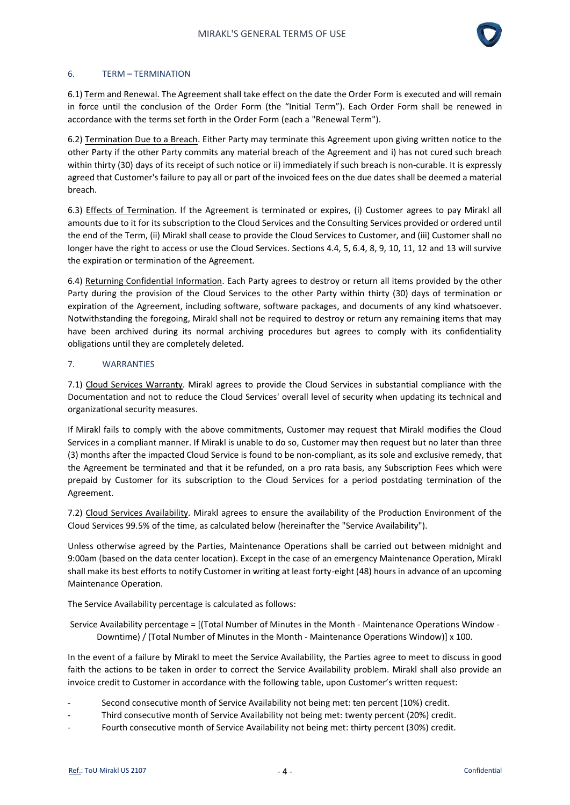

#### 6. TERM – TERMINATION

6.1) Term and Renewal. The Agreement shall take effect on the date the Order Form is executed and will remain in force until the conclusion of the Order Form (the "Initial Term"). Each Order Form shall be renewed in accordance with the terms set forth in the Order Form (each a "Renewal Term").

6.2) Termination Due to a Breach. Either Party may terminate this Agreement upon giving written notice to the other Party if the other Party commits any material breach of the Agreement and i) has not cured such breach within thirty (30) days of its receipt of such notice or ii) immediately if such breach is non-curable. It is expressly agreed that Customer's failure to pay all or part of the invoiced fees on the due dates shall be deemed a material breach.

6.3) Effects of Termination. If the Agreement is terminated or expires, (i) Customer agrees to pay Mirakl all amounts due to it for its subscription to the Cloud Services and the Consulting Services provided or ordered until the end of the Term, (ii) Mirakl shall cease to provide the Cloud Services to Customer, and (iii) Customer shall no longer have the right to access or use the Cloud Services. Sections 4.4, 5, 6.4, 8, 9, 10, 11, 12 and 13 will survive the expiration or termination of the Agreement.

6.4) Returning Confidential Information. Each Party agrees to destroy or return all items provided by the other Party during the provision of the Cloud Services to the other Party within thirty (30) days of termination or expiration of the Agreement, including software, software packages, and documents of any kind whatsoever. Notwithstanding the foregoing, Mirakl shall not be required to destroy or return any remaining items that may have been archived during its normal archiving procedures but agrees to comply with its confidentiality obligations until they are completely deleted.

### 7. WARRANTIES

7.1) Cloud Services Warranty. Mirakl agrees to provide the Cloud Services in substantial compliance with the Documentation and not to reduce the Cloud Services' overall level of security when updating its technical and organizational security measures.

If Mirakl fails to comply with the above commitments, Customer may request that Mirakl modifies the Cloud Services in a compliant manner. If Mirakl is unable to do so, Customer may then request but no later than three (3) months after the impacted Cloud Service is found to be non-compliant, as its sole and exclusive remedy, that the Agreement be terminated and that it be refunded, on a pro rata basis, any Subscription Fees which were prepaid by Customer for its subscription to the Cloud Services for a period postdating termination of the Agreement.

7.2) Cloud Services Availability. Mirakl agrees to ensure the availability of the Production Environment of the Cloud Services 99.5% of the time, as calculated below (hereinafter the "Service Availability").

Unless otherwise agreed by the Parties, Maintenance Operations shall be carried out between midnight and 9:00am (based on the data center location). Except in the case of an emergency Maintenance Operation, Mirakl shall make its best efforts to notify Customer in writing at least forty-eight (48) hours in advance of an upcoming Maintenance Operation.

The Service Availability percentage is calculated as follows:

Service Availability percentage = [(Total Number of Minutes in the Month - Maintenance Operations Window - Downtime) / (Total Number of Minutes in the Month - Maintenance Operations Window)] x 100.

In the event of a failure by Mirakl to meet the Service Availability, the Parties agree to meet to discuss in good faith the actions to be taken in order to correct the Service Availability problem. Mirakl shall also provide an invoice credit to Customer in accordance with the following table, upon Customer's written request:

- Second consecutive month of Service Availability not being met: ten percent (10%) credit.
- Third consecutive month of Service Availability not being met: twenty percent (20%) credit.
- Fourth consecutive month of Service Availability not being met: thirty percent (30%) credit.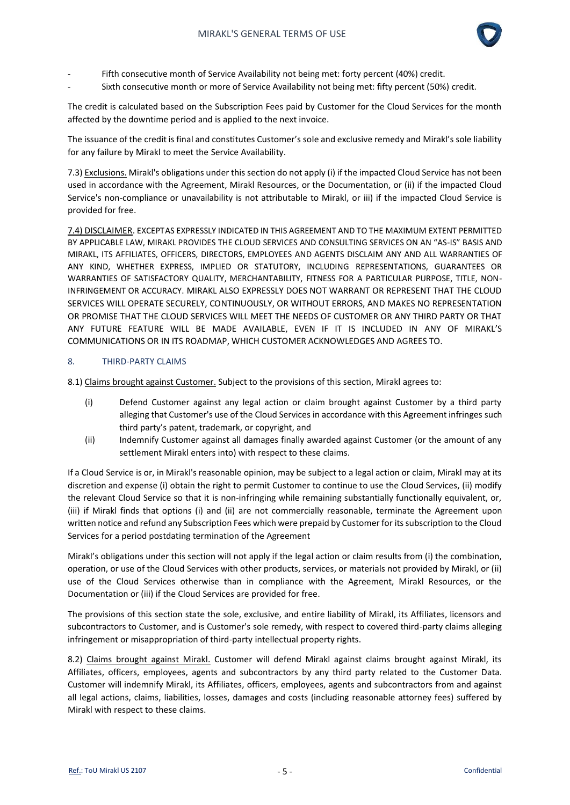

- Fifth consecutive month of Service Availability not being met: forty percent (40%) credit.
- Sixth consecutive month or more of Service Availability not being met: fifty percent (50%) credit.

The credit is calculated based on the Subscription Fees paid by Customer for the Cloud Services for the month affected by the downtime period and is applied to the next invoice.

The issuance of the credit is final and constitutes Customer's sole and exclusive remedy and Mirakl's sole liability for any failure by Mirakl to meet the Service Availability.

7.3) Exclusions. Mirakl's obligations under this section do not apply (i) if the impacted Cloud Service has not been used in accordance with the Agreement, Mirakl Resources, or the Documentation, or (ii) if the impacted Cloud Service's non-compliance or unavailability is not attributable to Mirakl, or iii) if the impacted Cloud Service is provided for free.

7.4) DISCLAIMER. EXCEPTAS EXPRESSLY INDICATED IN THIS AGREEMENT AND TO THE MAXIMUM EXTENT PERMITTED BY APPLICABLE LAW, MIRAKL PROVIDES THE CLOUD SERVICES AND CONSULTING SERVICES ON AN "AS-IS" BASIS AND MIRAKL, ITS AFFILIATES, OFFICERS, DIRECTORS, EMPLOYEES AND AGENTS DISCLAIM ANY AND ALL WARRANTIES OF ANY KIND, WHETHER EXPRESS, IMPLIED OR STATUTORY, INCLUDING REPRESENTATIONS, GUARANTEES OR WARRANTIES OF SATISFACTORY QUALITY, MERCHANTABILITY, FITNESS FOR A PARTICULAR PURPOSE, TITLE, NON-INFRINGEMENT OR ACCURACY. MIRAKL ALSO EXPRESSLY DOES NOT WARRANT OR REPRESENT THAT THE CLOUD SERVICES WILL OPERATE SECURELY, CONTINUOUSLY, OR WITHOUT ERRORS, AND MAKES NO REPRESENTATION OR PROMISE THAT THE CLOUD SERVICES WILL MEET THE NEEDS OF CUSTOMER OR ANY THIRD PARTY OR THAT ANY FUTURE FEATURE WILL BE MADE AVAILABLE, EVEN IF IT IS INCLUDED IN ANY OF MIRAKL'S COMMUNICATIONS OR IN ITS ROADMAP, WHICH CUSTOMER ACKNOWLEDGES AND AGREES TO.

### 8. THIRD-PARTY CLAIMS

8.1) Claims brought against Customer. Subject to the provisions of this section, Mirakl agrees to:

- (i) Defend Customer against any legal action or claim brought against Customer by a third party alleging that Customer's use of the Cloud Services in accordance with this Agreement infringes such third party's patent, trademark, or copyright, and
- (ii) Indemnify Customer against all damages finally awarded against Customer (or the amount of any settlement Mirakl enters into) with respect to these claims.

If a Cloud Service is or, in Mirakl's reasonable opinion, may be subject to a legal action or claim, Mirakl may at its discretion and expense (i) obtain the right to permit Customer to continue to use the Cloud Services, (ii) modify the relevant Cloud Service so that it is non-infringing while remaining substantially functionally equivalent, or, (iii) if Mirakl finds that options (i) and (ii) are not commercially reasonable, terminate the Agreement upon written notice and refund any Subscription Fees which were prepaid by Customer for its subscription to the Cloud Services for a period postdating termination of the Agreement

Mirakl's obligations under this section will not apply if the legal action or claim results from (i) the combination, operation, or use of the Cloud Services with other products, services, or materials not provided by Mirakl, or (ii) use of the Cloud Services otherwise than in compliance with the Agreement, Mirakl Resources, or the Documentation or (iii) if the Cloud Services are provided for free.

The provisions of this section state the sole, exclusive, and entire liability of Mirakl, its Affiliates, licensors and subcontractors to Customer, and is Customer's sole remedy, with respect to covered third-party claims alleging infringement or misappropriation of third-party intellectual property rights.

8.2) Claims brought against Mirakl. Customer will defend Mirakl against claims brought against Mirakl, its Affiliates, officers, employees, agents and subcontractors by any third party related to the Customer Data. Customer will indemnify Mirakl, its Affiliates, officers, employees, agents and subcontractors from and against all legal actions, claims, liabilities, losses, damages and costs (including reasonable attorney fees) suffered by Mirakl with respect to these claims.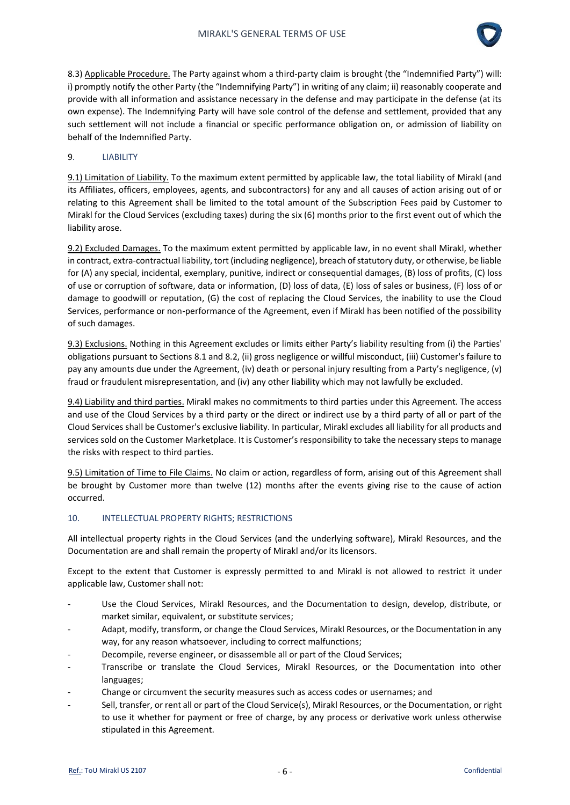

8.3) Applicable Procedure. The Party against whom a third-party claim is brought (the "Indemnified Party") will: i) promptly notify the other Party (the "Indemnifying Party") in writing of any claim; ii) reasonably cooperate and provide with all information and assistance necessary in the defense and may participate in the defense (at its own expense). The Indemnifying Party will have sole control of the defense and settlement, provided that any such settlement will not include a financial or specific performance obligation on, or admission of liability on behalf of the Indemnified Party.

### 9. LIABILITY

9.1) Limitation of Liability. To the maximum extent permitted by applicable law, the total liability of Mirakl (and its Affiliates, officers, employees, agents, and subcontractors) for any and all causes of action arising out of or relating to this Agreement shall be limited to the total amount of the Subscription Fees paid by Customer to Mirakl for the Cloud Services (excluding taxes) during the six (6) months prior to the first event out of which the liability arose.

9.2) Excluded Damages. To the maximum extent permitted by applicable law, in no event shall Mirakl, whether in contract, extra-contractual liability, tort (including negligence), breach of statutory duty, or otherwise, be liable for (A) any special, incidental, exemplary, punitive, indirect or consequential damages, (B) loss of profits, (C) loss of use or corruption of software, data or information, (D) loss of data, (E) loss of sales or business, (F) loss of or damage to goodwill or reputation, (G) the cost of replacing the Cloud Services, the inability to use the Cloud Services, performance or non-performance of the Agreement, even if Mirakl has been notified of the possibility of such damages.

9.3) Exclusions. Nothing in this Agreement excludes or limits either Party's liability resulting from (i) the Parties' obligations pursuant to Sections 8.1 and 8.2, (ii) gross negligence or willful misconduct, (iii) Customer's failure to pay any amounts due under the Agreement, (iv) death or personal injury resulting from a Party's negligence, (v) fraud or fraudulent misrepresentation, and (iv) any other liability which may not lawfully be excluded.

9.4) Liability and third parties. Mirakl makes no commitments to third parties under this Agreement. The access and use of the Cloud Services by a third party or the direct or indirect use by a third party of all or part of the Cloud Services shall be Customer's exclusive liability. In particular, Mirakl excludes all liability for all products and services sold on the Customer Marketplace. It is Customer's responsibility to take the necessary steps to manage the risks with respect to third parties.

9.5) Limitation of Time to File Claims. No claim or action, regardless of form, arising out of this Agreement shall be brought by Customer more than twelve (12) months after the events giving rise to the cause of action occurred.

# 10. INTELLECTUAL PROPERTY RIGHTS; RESTRICTIONS

All intellectual property rights in the Cloud Services (and the underlying software), Mirakl Resources, and the Documentation are and shall remain the property of Mirakl and/or its licensors.

Except to the extent that Customer is expressly permitted to and Mirakl is not allowed to restrict it under applicable law, Customer shall not:

- Use the Cloud Services, Mirakl Resources, and the Documentation to design, develop, distribute, or market similar, equivalent, or substitute services;
- Adapt, modify, transform, or change the Cloud Services, Mirakl Resources, or the Documentation in any way, for any reason whatsoever, including to correct malfunctions;
- Decompile, reverse engineer, or disassemble all or part of the Cloud Services;
- Transcribe or translate the Cloud Services, Mirakl Resources, or the Documentation into other languages;
- Change or circumvent the security measures such as access codes or usernames; and
- Sell, transfer, or rent all or part of the Cloud Service(s), Mirakl Resources, or the Documentation, or right to use it whether for payment or free of charge, by any process or derivative work unless otherwise stipulated in this Agreement.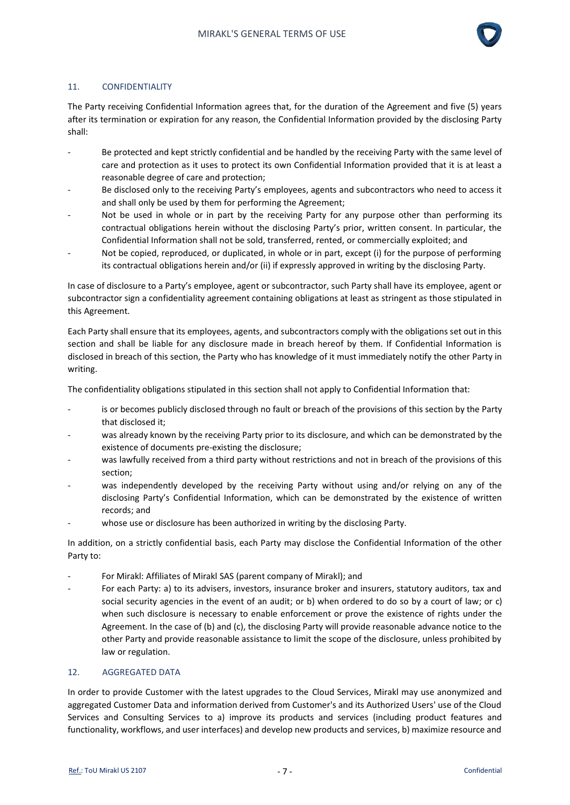

### 11. CONFIDENTIALITY

The Party receiving Confidential Information agrees that, for the duration of the Agreement and five (5) years after its termination or expiration for any reason, the Confidential Information provided by the disclosing Party shall:

- Be protected and kept strictly confidential and be handled by the receiving Party with the same level of care and protection as it uses to protect its own Confidential Information provided that it is at least a reasonable degree of care and protection;
- Be disclosed only to the receiving Party's employees, agents and subcontractors who need to access it and shall only be used by them for performing the Agreement;
- Not be used in whole or in part by the receiving Party for any purpose other than performing its contractual obligations herein without the disclosing Party's prior, written consent. In particular, the Confidential Information shall not be sold, transferred, rented, or commercially exploited; and
- Not be copied, reproduced, or duplicated, in whole or in part, except (i) for the purpose of performing its contractual obligations herein and/or (ii) if expressly approved in writing by the disclosing Party.

In case of disclosure to a Party's employee, agent or subcontractor, such Party shall have its employee, agent or subcontractor sign a confidentiality agreement containing obligations at least as stringent as those stipulated in this Agreement.

Each Party shall ensure that its employees, agents, and subcontractors comply with the obligations set out in this section and shall be liable for any disclosure made in breach hereof by them. If Confidential Information is disclosed in breach of this section, the Party who has knowledge of it must immediately notify the other Party in writing.

The confidentiality obligations stipulated in this section shall not apply to Confidential Information that:

- is or becomes publicly disclosed through no fault or breach of the provisions of this section by the Party that disclosed it;
- was already known by the receiving Party prior to its disclosure, and which can be demonstrated by the existence of documents pre-existing the disclosure;
- was lawfully received from a third party without restrictions and not in breach of the provisions of this section;
- was independently developed by the receiving Party without using and/or relying on any of the disclosing Party's Confidential Information, which can be demonstrated by the existence of written records; and
- whose use or disclosure has been authorized in writing by the disclosing Party.

In addition, on a strictly confidential basis, each Party may disclose the Confidential Information of the other Party to:

- For Mirakl: Affiliates of Mirakl SAS (parent company of Mirakl); and
- For each Party: a) to its advisers, investors, insurance broker and insurers, statutory auditors, tax and social security agencies in the event of an audit; or b) when ordered to do so by a court of law; or c) when such disclosure is necessary to enable enforcement or prove the existence of rights under the Agreement. In the case of (b) and (c), the disclosing Party will provide reasonable advance notice to the other Party and provide reasonable assistance to limit the scope of the disclosure, unless prohibited by law or regulation.

### 12. AGGREGATED DATA

In order to provide Customer with the latest upgrades to the Cloud Services, Mirakl may use anonymized and aggregated Customer Data and information derived from Customer's and its Authorized Users' use of the Cloud Services and Consulting Services to a) improve its products and services (including product features and functionality, workflows, and user interfaces) and develop new products and services, b) maximize resource and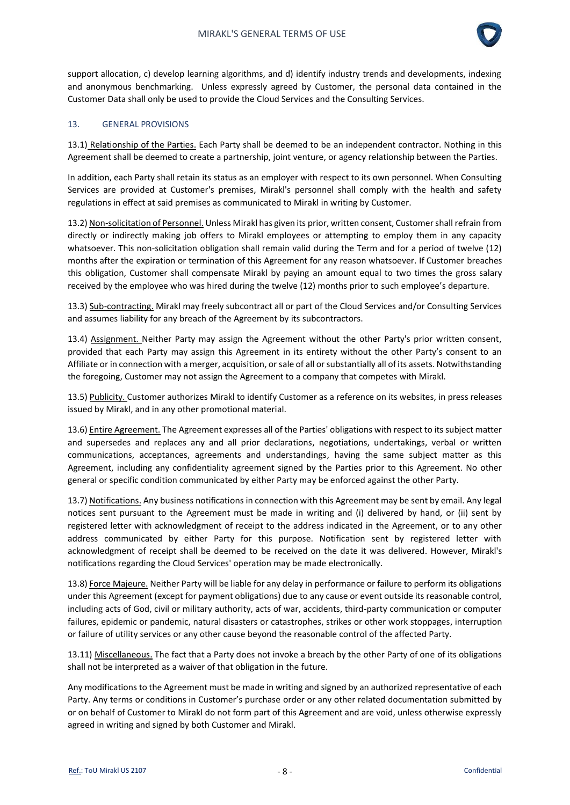

support allocation, c) develop learning algorithms, and d) identify industry trends and developments, indexing and anonymous benchmarking. Unless expressly agreed by Customer, the personal data contained in the Customer Data shall only be used to provide the Cloud Services and the Consulting Services.

## 13. GENERAL PROVISIONS

13.1) Relationship of the Parties. Each Party shall be deemed to be an independent contractor. Nothing in this Agreement shall be deemed to create a partnership, joint venture, or agency relationship between the Parties.

In addition, each Party shall retain its status as an employer with respect to its own personnel. When Consulting Services are provided at Customer's premises, Mirakl's personnel shall comply with the health and safety regulations in effect at said premises as communicated to Mirakl in writing by Customer.

13.2) Non-solicitation of Personnel. Unless Mirakl has given its prior, written consent, Customer shall refrain from directly or indirectly making job offers to Mirakl employees or attempting to employ them in any capacity whatsoever. This non-solicitation obligation shall remain valid during the Term and for a period of twelve (12) months after the expiration or termination of this Agreement for any reason whatsoever. If Customer breaches this obligation, Customer shall compensate Mirakl by paying an amount equal to two times the gross salary received by the employee who was hired during the twelve (12) months prior to such employee's departure.

13.3) Sub-contracting. Mirakl may freely subcontract all or part of the Cloud Services and/or Consulting Services and assumes liability for any breach of the Agreement by its subcontractors.

13.4) Assignment. Neither Party may assign the Agreement without the other Party's prior written consent, provided that each Party may assign this Agreement in its entirety without the other Party's consent to an Affiliate or in connection with a merger, acquisition, or sale of all or substantially all of its assets. Notwithstanding the foregoing, Customer may not assign the Agreement to a company that competes with Mirakl.

13.5) Publicity. Customer authorizes Mirakl to identify Customer as a reference on its websites, in press releases issued by Mirakl, and in any other promotional material.

13.6) Entire Agreement. The Agreement expresses all of the Parties' obligations with respect to its subject matter and supersedes and replaces any and all prior declarations, negotiations, undertakings, verbal or written communications, acceptances, agreements and understandings, having the same subject matter as this Agreement, including any confidentiality agreement signed by the Parties prior to this Agreement. No other general or specific condition communicated by either Party may be enforced against the other Party.

13.7) Notifications. Any business notifications in connection with this Agreement may be sent by email. Any legal notices sent pursuant to the Agreement must be made in writing and (i) delivered by hand, or (ii) sent by registered letter with acknowledgment of receipt to the address indicated in the Agreement, or to any other address communicated by either Party for this purpose. Notification sent by registered letter with acknowledgment of receipt shall be deemed to be received on the date it was delivered. However, Mirakl's notifications regarding the Cloud Services' operation may be made electronically.

13.8) Force Majeure. Neither Party will be liable for any delay in performance or failure to perform its obligations under this Agreement (except for payment obligations) due to any cause or event outside its reasonable control, including acts of God, civil or military authority, acts of war, accidents, third-party communication or computer failures, epidemic or pandemic, natural disasters or catastrophes, strikes or other work stoppages, interruption or failure of utility services or any other cause beyond the reasonable control of the affected Party.

13.11) Miscellaneous. The fact that a Party does not invoke a breach by the other Party of one of its obligations shall not be interpreted as a waiver of that obligation in the future.

Any modifications to the Agreement must be made in writing and signed by an authorized representative of each Party. Any terms or conditions in Customer's purchase order or any other related documentation submitted by or on behalf of Customer to Mirakl do not form part of this Agreement and are void, unless otherwise expressly agreed in writing and signed by both Customer and Mirakl.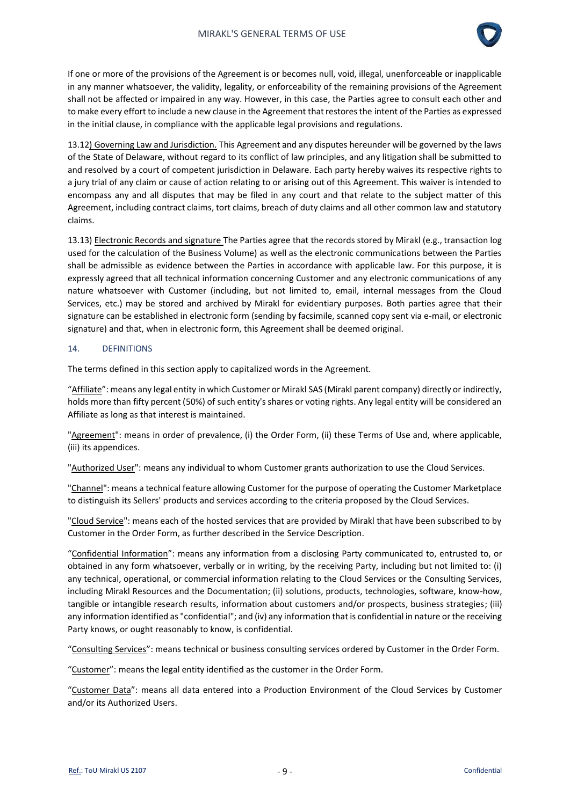

If one or more of the provisions of the Agreement is or becomes null, void, illegal, unenforceable or inapplicable in any manner whatsoever, the validity, legality, or enforceability of the remaining provisions of the Agreement shall not be affected or impaired in any way. However, in this case, the Parties agree to consult each other and to make every effort to include a new clause in the Agreement that restores the intent of the Parties as expressed in the initial clause, in compliance with the applicable legal provisions and regulations.

13.12) Governing Law and Jurisdiction. This Agreement and any disputes hereunder will be governed by the laws of the State of Delaware, without regard to its conflict of law principles, and any litigation shall be submitted to and resolved by a court of competent jurisdiction in Delaware. Each party hereby waives its respective rights to a jury trial of any claim or cause of action relating to or arising out of this Agreement. This waiver is intended to encompass any and all disputes that may be filed in any court and that relate to the subject matter of this Agreement, including contract claims, tort claims, breach of duty claims and all other common law and statutory claims.

13.13) Electronic Records and signature The Parties agree that the records stored by Mirakl (e.g., transaction log used for the calculation of the Business Volume) as well as the electronic communications between the Parties shall be admissible as evidence between the Parties in accordance with applicable law. For this purpose, it is expressly agreed that all technical information concerning Customer and any electronic communications of any nature whatsoever with Customer (including, but not limited to, email, internal messages from the Cloud Services, etc.) may be stored and archived by Mirakl for evidentiary purposes. Both parties agree that their signature can be established in electronic form (sending by facsimile, scanned copy sent via e-mail, or electronic signature) and that, when in electronic form, this Agreement shall be deemed original.

### 14. DEFINITIONS

The terms defined in this section apply to capitalized words in the Agreement.

"Affiliate": means any legal entity in which Customer or Mirakl SAS (Mirakl parent company) directly or indirectly, holds more than fifty percent (50%) of such entity's shares or voting rights. Any legal entity will be considered an Affiliate as long as that interest is maintained.

"Agreement": means in order of prevalence, (i) the Order Form, (ii) these Terms of Use and, where applicable, (iii) its appendices.

"Authorized User": means any individual to whom Customer grants authorization to use the Cloud Services.

"Channel": means a technical feature allowing Customer for the purpose of operating the Customer Marketplace to distinguish its Sellers' products and services according to the criteria proposed by the Cloud Services.

"Cloud Service": means each of the hosted services that are provided by Mirakl that have been subscribed to by Customer in the Order Form, as further described in the Service Description.

"Confidential Information": means any information from a disclosing Party communicated to, entrusted to, or obtained in any form whatsoever, verbally or in writing, by the receiving Party, including but not limited to: (i) any technical, operational, or commercial information relating to the Cloud Services or the Consulting Services, including Mirakl Resources and the Documentation; (ii) solutions, products, technologies, software, know-how, tangible or intangible research results, information about customers and/or prospects, business strategies; (iii) any information identified as "confidential"; and (iv) any information that is confidential in nature or the receiving Party knows, or ought reasonably to know, is confidential.

"Consulting Services": means technical or business consulting services ordered by Customer in the Order Form.

"Customer": means the legal entity identified as the customer in the Order Form.

"Customer Data": means all data entered into a Production Environment of the Cloud Services by Customer and/or its Authorized Users.